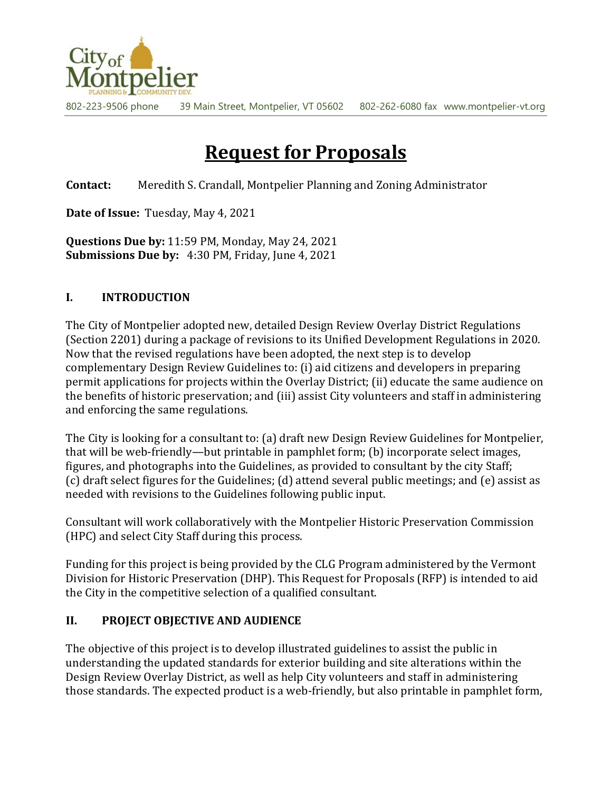

802-223-9506 phone 39 Main Street, Montpelier, VT 05602 802-262-6080 fax www.montpelier-vt.org

# **Request for Proposals**

**Contact:** Meredith S. Crandall, Montpelier Planning and Zoning Administrator

**Date of Issue:** Tuesday, May 4, 2021

**Questions Due by:** 11:59 PM, Monday, May 24, 2021 **Submissions Due by:** 4:30 PM, Friday, June 4, 2021

#### **I. INTRODUCTION**

The City of Montpelier adopted new, detailed Design Review Overlay District Regulations (Section 2201) during a package of revisions to its Unified Development Regulations in 2020. Now that the revised regulations have been adopted, the next step is to develop complementary Design Review Guidelines to: (i) aid citizens and developers in preparing permit applications for projects within the Overlay District; (ii) educate the same audience on the benefits of historic preservation; and (iii) assist City volunteers and staff in administering and enforcing the same regulations.

The City is looking for a consultant to: (a) draft new Design Review Guidelines for Montpelier, that will be web-friendly—but printable in pamphlet form; (b) incorporate select images, figures, and photographs into the Guidelines, as provided to consultant by the city Staff; (c) draft select figures for the Guidelines; (d) attend several public meetings; and (e) assist as needed with revisions to the Guidelines following public input.

Consultant will work collaboratively with the Montpelier Historic Preservation Commission (HPC) and select City Staff during this process.

Funding for this project is being provided by the CLG Program administered by the Vermont Division for Historic Preservation (DHP). This Request for Proposals (RFP) is intended to aid the City in the competitive selection of a qualified consultant.

#### **II. PROJECT OBJECTIVE AND AUDIENCE**

The objective of this project is to develop illustrated guidelines to assist the public in understanding the updated standards for exterior building and site alterations within the Design Review Overlay District, as well as help City volunteers and staff in administering those standards. The expected product is a web-friendly, but also printable in pamphlet form,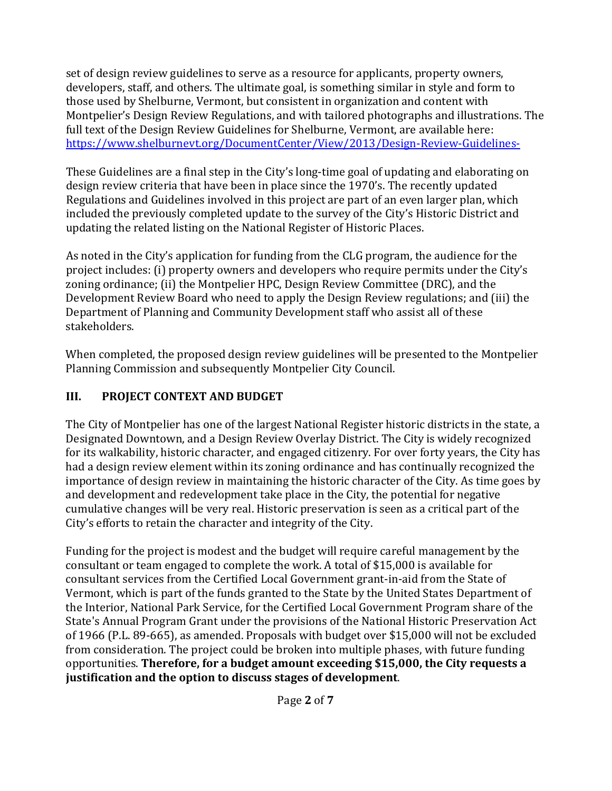set of design review guidelines to serve as a resource for applicants, property owners, developers, staff, and others. The ultimate goal, is something similar in style and form to those used by Shelburne, Vermont, but consistent in organization and content with Montpelier's Design Review Regulations, and with tailored photographs and illustrations. The full text of the Design Review Guidelines for Shelburne, Vermont, are available here: <https://www.shelburnevt.org/DocumentCenter/View/2013/Design-Review-Guidelines->

These Guidelines are a final step in the City's long-time goal of updating and elaborating on design review criteria that have been in place since the 1970's. The recently updated Regulations and Guidelines involved in this project are part of an even larger plan, which included the previously completed update to the survey of the City's Historic District and updating the related listing on the National Register of Historic Places.

As noted in the City's application for funding from the CLG program, the audience for the project includes: (i) property owners and developers who require permits under the City's zoning ordinance; (ii) the Montpelier HPC, Design Review Committee (DRC), and the Development Review Board who need to apply the Design Review regulations; and (iii) the Department of Planning and Community Development staff who assist all of these stakeholders.

When completed, the proposed design review guidelines will be presented to the Montpelier Planning Commission and subsequently Montpelier City Council.

## **III. PROJECT CONTEXT AND BUDGET**

The City of Montpelier has one of the largest National Register historic districts in the state, a Designated Downtown, and a Design Review Overlay District. The City is widely recognized for its walkability, historic character, and engaged citizenry. For over forty years, the City has had a design review element within its zoning ordinance and has continually recognized the importance of design review in maintaining the historic character of the City. As time goes by and development and redevelopment take place in the City, the potential for negative cumulative changes will be very real. Historic preservation is seen as a critical part of the City's efforts to retain the character and integrity of the City.

Funding for the project is modest and the budget will require careful management by the consultant or team engaged to complete the work. A total of \$15,000 is available for consultant services from the Certified Local Government grant-in-aid from the State of Vermont, which is part of the funds granted to the State by the United States Department of the Interior, National Park Service, for the Certified Local Government Program share of the State's Annual Program Grant under the provisions of the National Historic Preservation Act of 1966 (P.L. 89-665), as amended. Proposals with budget over \$15,000 will not be excluded from consideration. The project could be broken into multiple phases, with future funding opportunities. **Therefore, for a budget amount exceeding \$15,000, the City requests a justification and the option to discuss stages of development**.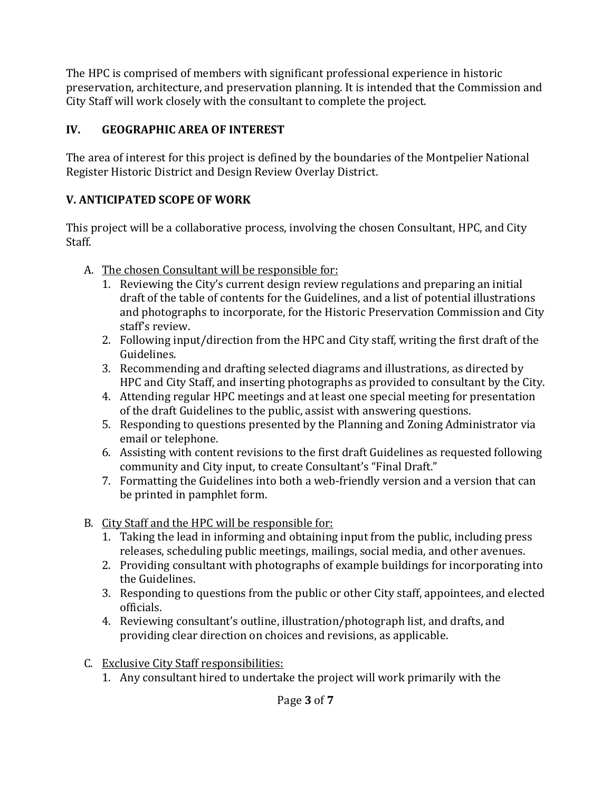The HPC is comprised of members with significant professional experience in historic preservation, architecture, and preservation planning. It is intended that the Commission and City Staff will work closely with the consultant to complete the project.

## **IV. GEOGRAPHIC AREA OF INTEREST**

The area of interest for this project is defined by the boundaries of the Montpelier National Register Historic District and Design Review Overlay District.

# **V. ANTICIPATED SCOPE OF WORK**

This project will be a collaborative process, involving the chosen Consultant, HPC, and City Staff.

- A. The chosen Consultant will be responsible for:
	- 1. Reviewing the City's current design review regulations and preparing an initial draft of the table of contents for the Guidelines, and a list of potential illustrations and photographs to incorporate, for the Historic Preservation Commission and City staff's review.
	- 2. Following input/direction from the HPC and City staff, writing the first draft of the Guidelines.
	- 3. Recommending and drafting selected diagrams and illustrations, as directed by HPC and City Staff, and inserting photographs as provided to consultant by the City.
	- 4. Attending regular HPC meetings and at least one special meeting for presentation of the draft Guidelines to the public, assist with answering questions.
	- 5. Responding to questions presented by the Planning and Zoning Administrator via email or telephone.
	- 6. Assisting with content revisions to the first draft Guidelines as requested following community and City input, to create Consultant's "Final Draft."
	- 7. Formatting the Guidelines into both a web-friendly version and a version that can be printed in pamphlet form.
- B. City Staff and the HPC will be responsible for:
	- 1. Taking the lead in informing and obtaining input from the public, including press releases, scheduling public meetings, mailings, social media, and other avenues.
	- 2. Providing consultant with photographs of example buildings for incorporating into the Guidelines.
	- 3. Responding to questions from the public or other City staff, appointees, and elected officials.
	- 4. Reviewing consultant's outline, illustration/photograph list, and drafts, and providing clear direction on choices and revisions, as applicable.
- C. Exclusive City Staff responsibilities:
	- 1. Any consultant hired to undertake the project will work primarily with the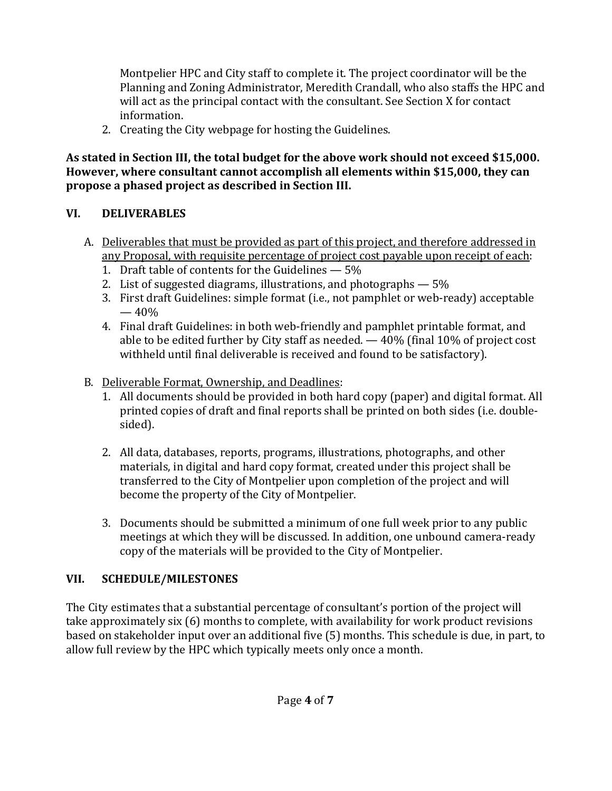Montpelier HPC and City staff to complete it. The project coordinator will be the Planning and Zoning Administrator, Meredith Crandall, who also staffs the HPC and will act as the principal contact with the consultant. See Section X for contact information.

2. Creating the City webpage for hosting the Guidelines.

**As stated in Section III, the total budget for the above work should not exceed \$15,000. However, where consultant cannot accomplish all elements within \$15,000, they can propose a phased project as described in Section III.**

## **VI. DELIVERABLES**

- A. Deliverables that must be provided as part of this project, and therefore addressed in any Proposal, with requisite percentage of project cost payable upon receipt of each:
	- 1. Draft table of contents for the Guidelines 5%
	- 2. List of suggested diagrams, illustrations, and photographs 5%
	- 3. First draft Guidelines: simple format (i.e., not pamphlet or web-ready) acceptable  $-40%$
	- 4. Final draft Guidelines: in both web-friendly and pamphlet printable format, and able to be edited further by City staff as needed. — 40% (final 10% of project cost withheld until final deliverable is received and found to be satisfactory).
- B. Deliverable Format, Ownership, and Deadlines:
	- 1. All documents should be provided in both hard copy (paper) and digital format. All printed copies of draft and final reports shall be printed on both sides (i.e. doublesided).
	- 2. All data, databases, reports, programs, illustrations, photographs, and other materials, in digital and hard copy format, created under this project shall be transferred to the City of Montpelier upon completion of the project and will become the property of the City of Montpelier.
	- 3. Documents should be submitted a minimum of one full week prior to any public meetings at which they will be discussed. In addition, one unbound camera-ready copy of the materials will be provided to the City of Montpelier.

# **VII. SCHEDULE/MILESTONES**

The City estimates that a substantial percentage of consultant's portion of the project will take approximately six (6) months to complete, with availability for work product revisions based on stakeholder input over an additional five (5) months. This schedule is due, in part, to allow full review by the HPC which typically meets only once a month.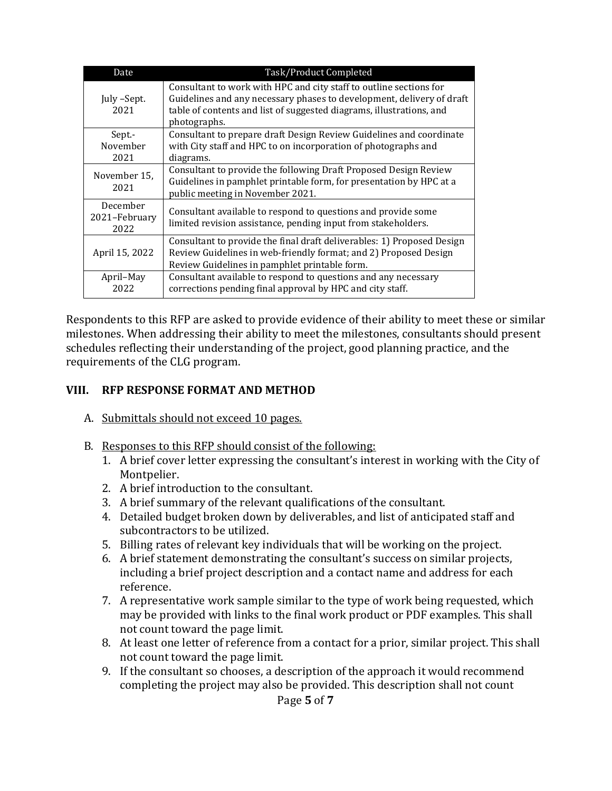| Date                              | Task/Product Completed                                                                                                                                                                                                              |
|-----------------------------------|-------------------------------------------------------------------------------------------------------------------------------------------------------------------------------------------------------------------------------------|
| July -Sept.<br>2021               | Consultant to work with HPC and city staff to outline sections for<br>Guidelines and any necessary phases to development, delivery of draft<br>table of contents and list of suggested diagrams, illustrations, and<br>photographs. |
| Sept -<br>November<br>2021        | Consultant to prepare draft Design Review Guidelines and coordinate<br>with City staff and HPC to on incorporation of photographs and<br>diagrams.                                                                                  |
| November 15,<br>2021              | Consultant to provide the following Draft Proposed Design Review<br>Guidelines in pamphlet printable form, for presentation by HPC at a<br>public meeting in November 2021.                                                         |
| December<br>2021–February<br>2022 | Consultant available to respond to questions and provide some<br>limited revision assistance, pending input from stakeholders.                                                                                                      |
| April 15, 2022                    | Consultant to provide the final draft deliverables: 1) Proposed Design<br>Review Guidelines in web-friendly format; and 2) Proposed Design<br>Review Guidelines in pamphlet printable form.                                         |
| April-May<br>2022                 | Consultant available to respond to questions and any necessary<br>corrections pending final approval by HPC and city staff.                                                                                                         |

Respondents to this RFP are asked to provide evidence of their ability to meet these or similar milestones. When addressing their ability to meet the milestones, consultants should present schedules reflecting their understanding of the project, good planning practice, and the requirements of the CLG program.

#### **VIII. RFP RESPONSE FORMAT AND METHOD**

- A. Submittals should not exceed 10 pages.
- B. Responses to this RFP should consist of the following:
	- 1. A brief cover letter expressing the consultant's interest in working with the City of Montpelier.
	- 2. A brief introduction to the consultant.
	- 3. A brief summary of the relevant qualifications of the consultant.
	- 4. Detailed budget broken down by deliverables, and list of anticipated staff and subcontractors to be utilized.
	- 5. Billing rates of relevant key individuals that will be working on the project.
	- 6. A brief statement demonstrating the consultant's success on similar projects, including a brief project description and a contact name and address for each reference.
	- 7. A representative work sample similar to the type of work being requested, which may be provided with links to the final work product or PDF examples. This shall not count toward the page limit.
	- 8. At least one letter of reference from a contact for a prior, similar project. This shall not count toward the page limit.
	- 9. If the consultant so chooses, a description of the approach it would recommend completing the project may also be provided. This description shall not count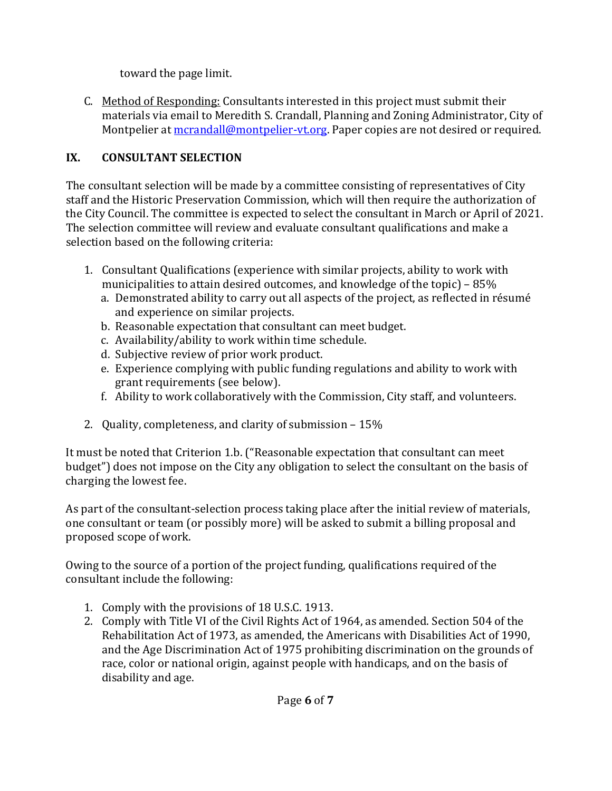toward the page limit.

C. Method of Responding: Consultants interested in this project must submit their materials via email to Meredith S. Crandall, Planning and Zoning Administrator, City of Montpelier at mcrandall@montpelier-vt.org. Paper copies are not desired or required.

## **IX. CONSULTANT SELECTION**

The consultant selection will be made by a committee consisting of representatives of City staff and the Historic Preservation Commission, which will then require the authorization of the City Council. The committee is expected to select the consultant in March or April of 2021. The selection committee will review and evaluate consultant qualifications and make a selection based on the following criteria:

- 1. Consultant Qualifications (experience with similar projects, ability to work with municipalities to attain desired outcomes, and knowledge of the topic) – 85%
	- a. Demonstrated ability to carry out all aspects of the project, as reflected in résumé and experience on similar projects.
	- b. Reasonable expectation that consultant can meet budget.
	- c. Availability/ability to work within time schedule.
	- d. Subjective review of prior work product.
	- e. Experience complying with public funding regulations and ability to work with grant requirements (see below).
	- f. Ability to work collaboratively with the Commission, City staff, and volunteers.
- 2. Quality, completeness, and clarity of submission 15%

It must be noted that Criterion 1.b. ("Reasonable expectation that consultant can meet budget") does not impose on the City any obligation to select the consultant on the basis of charging the lowest fee.

As part of the consultant-selection process taking place after the initial review of materials, one consultant or team (or possibly more) will be asked to submit a billing proposal and proposed scope of work.

Owing to the source of a portion of the project funding, qualifications required of the consultant include the following:

- 1. Comply with the provisions of 18 U.S.C. 1913.
- 2. Comply with Title VI of the Civil Rights Act of 1964, as amended. Section 504 of the Rehabilitation Act of 1973, as amended, the Americans with Disabilities Act of 1990, and the Age Discrimination Act of 1975 prohibiting discrimination on the grounds of race, color or national origin, against people with handicaps, and on the basis of disability and age.